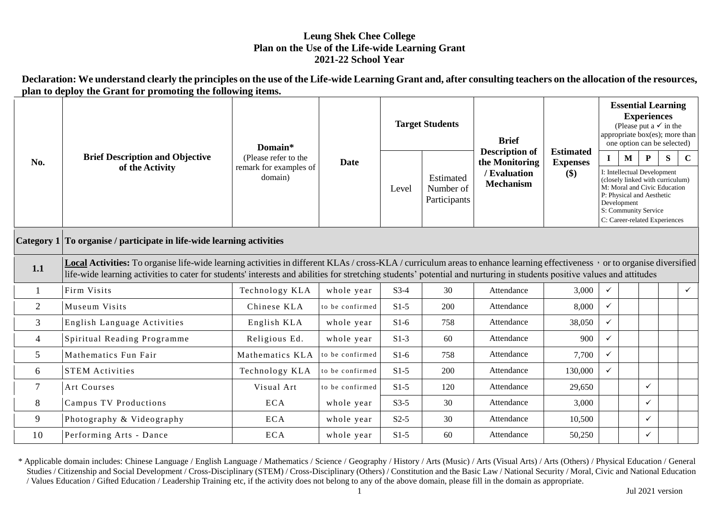## **Leung Shek Chee College Plan on the Use of the Life-wide Learning Grant 2021-22 School Year**

**Declaration: We understand clearly the principles on the use of the Life-wide Learning Grant and, after consulting teachers on the allocation of the resources, plan to deploy the Grant for promoting the following items.**

| No.            | <b>Brief Description and Objective</b><br>of the Activity                                                                                                                                                                                                                                                                                              | Domain*<br>(Please refer to the<br>remark for examples of<br>domain) | Date            | <b>Target Students</b> |                                        | <b>Brief</b>                                                                |                                                                  | <b>Essential Learning</b><br><b>Experiences</b><br>(Please put a $\checkmark$ in the<br>appropriate box(es); more than<br>one option can be selected) |                             |                                                                                                                                                                                            |   |              |
|----------------|--------------------------------------------------------------------------------------------------------------------------------------------------------------------------------------------------------------------------------------------------------------------------------------------------------------------------------------------------------|----------------------------------------------------------------------|-----------------|------------------------|----------------------------------------|-----------------------------------------------------------------------------|------------------------------------------------------------------|-------------------------------------------------------------------------------------------------------------------------------------------------------|-----------------------------|--------------------------------------------------------------------------------------------------------------------------------------------------------------------------------------------|---|--------------|
|                |                                                                                                                                                                                                                                                                                                                                                        |                                                                      |                 | Level                  | Estimated<br>Number of<br>Participants | <b>Description of</b><br>the Monitoring<br>/ Evaluation<br><b>Mechanism</b> | <b>Estimated</b><br><b>Expenses</b><br>$\left( \text{\$}\right)$ | $\mathbf I$                                                                                                                                           | $\mathbf{M}$<br>Development | P<br>I: Intellectual Development<br>(closely linked with curriculum)<br>M: Moral and Civic Education<br>P: Physical and Aesthetic<br>S: Community Service<br>C: Career-related Experiences | S | $\mathbf C$  |
|                | Category 1 To organise / participate in life-wide learning activities                                                                                                                                                                                                                                                                                  |                                                                      |                 |                        |                                        |                                                                             |                                                                  |                                                                                                                                                       |                             |                                                                                                                                                                                            |   |              |
| 1.1            | Local Activities: To organise life-wide learning activities in different KLAs / cross-KLA / curriculum areas to enhance learning effectiveness , or to organise diversified<br>life-wide learning activities to cater for students' interests and abilities for stretching students' potential and nurturing in students positive values and attitudes |                                                                      |                 |                        |                                        |                                                                             |                                                                  |                                                                                                                                                       |                             |                                                                                                                                                                                            |   |              |
|                | Firm Visits                                                                                                                                                                                                                                                                                                                                            | Technology KLA                                                       | whole year      | $S3-4$                 | 30                                     | Attendance                                                                  | 3,000                                                            | $\checkmark$                                                                                                                                          |                             |                                                                                                                                                                                            |   | $\checkmark$ |
| $\overline{2}$ | Museum Visits                                                                                                                                                                                                                                                                                                                                          | Chinese KLA                                                          | to be confirmed | $S1-5$                 | 200                                    | Attendance                                                                  | 8,000                                                            | $\checkmark$                                                                                                                                          |                             |                                                                                                                                                                                            |   |              |
| 3              | English Language Activities                                                                                                                                                                                                                                                                                                                            | English KLA                                                          | whole year      | $S1-6$                 | 758                                    | Attendance                                                                  | 38,050                                                           | $\checkmark$                                                                                                                                          |                             |                                                                                                                                                                                            |   |              |
| 4              | Spiritual Reading Programme                                                                                                                                                                                                                                                                                                                            | Religious Ed.                                                        | whole year      | $S1-3$                 | 60                                     | Attendance                                                                  | 900                                                              | $\checkmark$                                                                                                                                          |                             |                                                                                                                                                                                            |   |              |
| 5              | Mathematics Fun Fair                                                                                                                                                                                                                                                                                                                                   | Mathematics KLA                                                      | to be confirmed | $S1-6$                 | 758                                    | Attendance                                                                  | 7,700                                                            | $\checkmark$                                                                                                                                          |                             |                                                                                                                                                                                            |   |              |
| 6              | <b>STEM Activities</b>                                                                                                                                                                                                                                                                                                                                 | Technology KLA                                                       | to be confirmed | $S1-5$                 | 200                                    | Attendance                                                                  | 130,000                                                          | $\checkmark$                                                                                                                                          |                             |                                                                                                                                                                                            |   |              |
| $\overline{7}$ | Art Courses                                                                                                                                                                                                                                                                                                                                            | Visual Art                                                           | to be confirmed | $S1-5$                 | 120                                    | Attendance                                                                  | 29.650                                                           |                                                                                                                                                       |                             | $\checkmark$                                                                                                                                                                               |   |              |
| 8              | <b>Campus TV Productions</b>                                                                                                                                                                                                                                                                                                                           | <b>ECA</b>                                                           | whole year      | $S3-5$                 | 30                                     | Attendance                                                                  | 3,000                                                            |                                                                                                                                                       |                             | $\checkmark$                                                                                                                                                                               |   |              |
| 9              | Photography & Videography                                                                                                                                                                                                                                                                                                                              | <b>ECA</b>                                                           | whole year      | $S2-5$                 | 30                                     | Attendance                                                                  | 10,500                                                           |                                                                                                                                                       |                             | $\checkmark$                                                                                                                                                                               |   |              |
| 10             | Performing Arts - Dance                                                                                                                                                                                                                                                                                                                                | <b>ECA</b>                                                           | whole year      | $S1-5$                 | 60                                     | Attendance                                                                  | 50,250                                                           |                                                                                                                                                       |                             | $\checkmark$                                                                                                                                                                               |   |              |

\* Applicable domain includes: Chinese Language / English Language / Mathematics / Science / Geography / History / Arts (Music) / Arts (Visual Arts) / Arts (Others) / Physical Education / General Studies / Citizenship and Social Development / Cross-Disciplinary (STEM) / Cross-Disciplinary (Others) / Constitution and the Basic Law / National Security / Moral, Civic and National Education / Values Education / Gifted Education / Leadership Training etc, if the activity does not belong to any of the above domain, please fill in the domain as appropriate.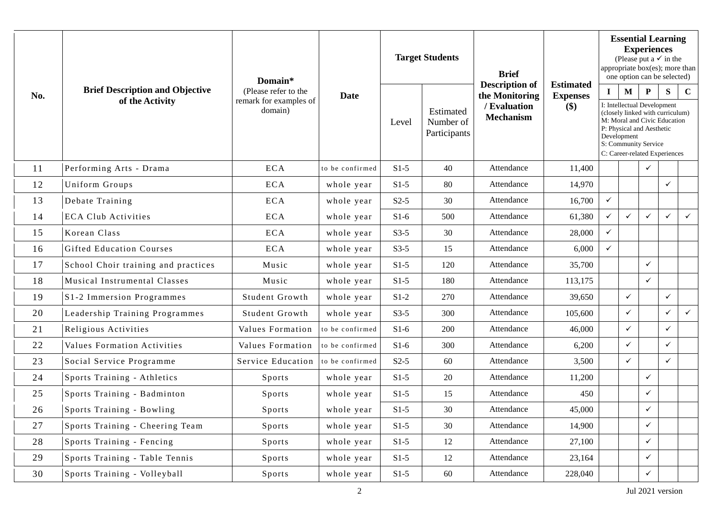|     |                                                           | Domain*                                                   | Date            | <b>Target Students</b> |                                        | <b>Brief</b>                                                                | <b>Estimated</b>         | <b>Essential Learning</b><br><b>Experiences</b><br>(Please put a $\checkmark$ in the<br>appropriate box(es); more than<br>one option can be selected)                                                                                                     |              |              |              |              |
|-----|-----------------------------------------------------------|-----------------------------------------------------------|-----------------|------------------------|----------------------------------------|-----------------------------------------------------------------------------|--------------------------|-----------------------------------------------------------------------------------------------------------------------------------------------------------------------------------------------------------------------------------------------------------|--------------|--------------|--------------|--------------|
| No. | <b>Brief Description and Objective</b><br>of the Activity | (Please refer to the<br>remark for examples of<br>domain) |                 | Level                  | Estimated<br>Number of<br>Participants | <b>Description of</b><br>the Monitoring<br>/ Evaluation<br><b>Mechanism</b> | <b>Expenses</b><br>$($)$ | $\mathbf{M}$<br>P<br>S<br>$\bf{I}$<br>$\mathbf C$<br>I: Intellectual Development<br>(closely linked with curriculum)<br>M: Moral and Civic Education<br>P: Physical and Aesthetic<br>Development<br>S: Community Service<br>C: Career-related Experiences |              |              |              |              |
| 11  | Performing Arts - Drama                                   | <b>ECA</b>                                                | to be confirmed | $S1-5$                 | 40                                     | Attendance                                                                  | 11,400                   |                                                                                                                                                                                                                                                           |              | ✓            |              |              |
| 12  | Uniform Groups                                            | <b>ECA</b>                                                | whole year      | $S1-5$                 | 80                                     | Attendance                                                                  | 14,970                   |                                                                                                                                                                                                                                                           |              |              | $\checkmark$ |              |
| 13  | Debate Training                                           | ECA                                                       | whole year      | $S2-5$                 | 30                                     | Attendance                                                                  | 16,700                   | $\checkmark$                                                                                                                                                                                                                                              |              |              |              |              |
| 14  | <b>ECA Club Activities</b>                                | <b>ECA</b>                                                | whole year      | $S1-6$                 | 500                                    | Attendance                                                                  | 61,380                   | $\checkmark$                                                                                                                                                                                                                                              | $\checkmark$ | $\checkmark$ | $\checkmark$ | $\checkmark$ |
| 15  | Korean Class                                              | <b>ECA</b>                                                | whole year      | $S3-5$                 | 30                                     | Attendance                                                                  | 28,000                   | ✓                                                                                                                                                                                                                                                         |              |              |              |              |
| 16  | <b>Gifted Education Courses</b>                           | <b>ECA</b>                                                | whole year      | $S3-5$                 | 15                                     | Attendance                                                                  | 6,000                    | $\checkmark$                                                                                                                                                                                                                                              |              |              |              |              |
| 17  | School Choir training and practices                       | Music                                                     | whole year      | $S1-5$                 | 120                                    | Attendance                                                                  | 35,700                   |                                                                                                                                                                                                                                                           |              | $\checkmark$ |              |              |
| 18  | <b>Musical Instrumental Classes</b>                       | Music                                                     | whole year      | $S1-5$                 | 180                                    | Attendance                                                                  | 113,175                  |                                                                                                                                                                                                                                                           |              | $\checkmark$ |              |              |
| 19  | S1-2 Immersion Programmes                                 | Student Growth                                            | whole year      | $S1-2$                 | 270                                    | Attendance                                                                  | 39,650                   |                                                                                                                                                                                                                                                           | $\checkmark$ |              | $\checkmark$ |              |
| 20  | Leadership Training Programmes                            | Student Growth                                            | whole year      | $S3-5$                 | 300                                    | Attendance                                                                  | 105,600                  |                                                                                                                                                                                                                                                           | $\checkmark$ |              | $\checkmark$ | $\checkmark$ |
| 21  | Religious Activities                                      | Values Formation                                          | to be confirmed | $S1-6$                 | 200                                    | Attendance                                                                  | 46,000                   |                                                                                                                                                                                                                                                           | $\checkmark$ |              | $\checkmark$ |              |
| 22  | Values Formation Activities                               | Values Formation                                          | to be confirmed | $S1-6$                 | 300                                    | Attendance                                                                  | 6,200                    |                                                                                                                                                                                                                                                           | $\checkmark$ |              | $\checkmark$ |              |
| 23  | Social Service Programme                                  | Service Education                                         | to be confirmed | $S2-5$                 | 60                                     | Attendance                                                                  | 3,500                    |                                                                                                                                                                                                                                                           | $\checkmark$ |              | $\checkmark$ |              |
| 24  | Sports Training - Athletics                               | Sports                                                    | whole year      | $S1-5$                 | 20                                     | Attendance                                                                  | 11,200                   |                                                                                                                                                                                                                                                           |              | $\checkmark$ |              |              |
| 25  | Sports Training - Badminton                               | Sports                                                    | whole year      | $S1-5$                 | 15                                     | Attendance                                                                  | 450                      |                                                                                                                                                                                                                                                           |              | $\checkmark$ |              |              |
| 26  | Sports Training - Bowling                                 | Sports                                                    | whole year      | $S1-5$                 | 30                                     | Attendance                                                                  | 45,000                   |                                                                                                                                                                                                                                                           |              | $\checkmark$ |              |              |
| 27  | Sports Training - Cheering Team                           | Sports                                                    | whole year      | $S1-5$                 | 30                                     | Attendance                                                                  | 14,900                   |                                                                                                                                                                                                                                                           |              | $\checkmark$ |              |              |
| 28  | Sports Training - Fencing                                 | Sports                                                    | whole year      | $S1-5$                 | 12                                     | Attendance                                                                  | 27,100                   |                                                                                                                                                                                                                                                           |              | $\checkmark$ |              |              |
| 29  | Sports Training - Table Tennis                            | Sports                                                    | whole year      | $S1-5$                 | 12                                     | Attendance                                                                  | 23,164                   |                                                                                                                                                                                                                                                           |              | ✓            |              |              |
| 30  | Sports Training - Volleyball                              | Sports                                                    | whole year      | $S1-5$                 | 60                                     | Attendance                                                                  | 228,040                  |                                                                                                                                                                                                                                                           |              | $\checkmark$ |              |              |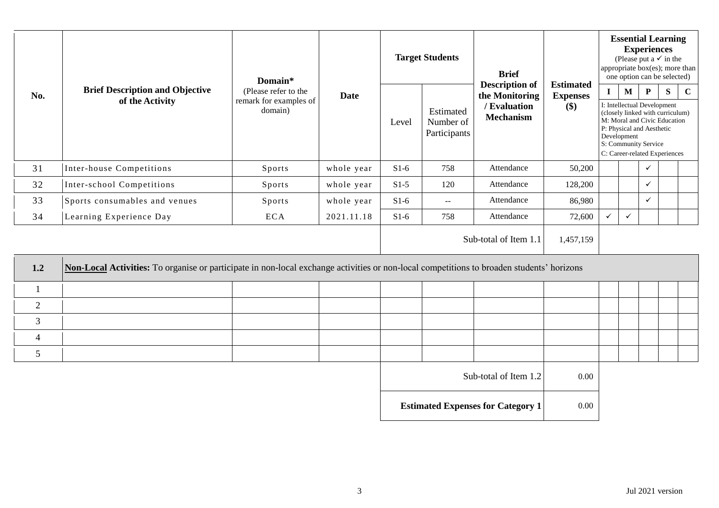|                |                                                                                                                                           | Domain*                                                   | <b>Date</b> | <b>Target Students</b> |                                        | <b>Brief</b>                                                                |                                               | <b>Essential Learning</b><br><b>Experiences</b><br>(Please put a $\checkmark$ in the<br>appropriate box(es); more than<br>one option can be selected) |              |                                                                                                                                                                                                                           |  |  |  |
|----------------|-------------------------------------------------------------------------------------------------------------------------------------------|-----------------------------------------------------------|-------------|------------------------|----------------------------------------|-----------------------------------------------------------------------------|-----------------------------------------------|-------------------------------------------------------------------------------------------------------------------------------------------------------|--------------|---------------------------------------------------------------------------------------------------------------------------------------------------------------------------------------------------------------------------|--|--|--|
| No.            | <b>Brief Description and Objective</b><br>of the Activity                                                                                 | (Please refer to the<br>remark for examples of<br>domain) |             | Level                  | Estimated<br>Number of<br>Participants | <b>Description of</b><br>the Monitoring<br>/ Evaluation<br><b>Mechanism</b> | <b>Estimated</b><br><b>Expenses</b><br>$(\$)$ | $\mathbf{I}$<br>Development                                                                                                                           | $\mathbf{M}$ | $\mathbf{P}$<br>S<br>$\mathbf C$<br>I: Intellectual Development<br>(closely linked with curriculum)<br>M: Moral and Civic Education<br>P: Physical and Aesthetic<br>S: Community Service<br>C: Career-related Experiences |  |  |  |
| 31             | Inter-house Competitions                                                                                                                  | Sports                                                    | whole year  | $S1-6$                 | 758                                    | Attendance                                                                  | 50,200                                        |                                                                                                                                                       |              | $\checkmark$                                                                                                                                                                                                              |  |  |  |
| 32             | Inter-school Competitions                                                                                                                 | Sports                                                    | whole year  | $S1-5$                 | 120                                    | Attendance                                                                  | 128,200                                       |                                                                                                                                                       |              | $\checkmark$                                                                                                                                                                                                              |  |  |  |
| 33             | Sports consumables and venues                                                                                                             | Sports                                                    | whole year  | $S1-6$                 | $\mathbf{u} = \mathbf{v}$              | Attendance                                                                  | 86,980                                        |                                                                                                                                                       |              | $\checkmark$                                                                                                                                                                                                              |  |  |  |
| 34             | Learning Experience Day                                                                                                                   | <b>ECA</b>                                                | 2021.11.18  | $S1-6$                 | 758                                    | Attendance                                                                  | 72,600                                        | $\checkmark$                                                                                                                                          | $\checkmark$ |                                                                                                                                                                                                                           |  |  |  |
|                |                                                                                                                                           |                                                           |             |                        |                                        | Sub-total of Item 1.1                                                       | 1,457,159                                     |                                                                                                                                                       |              |                                                                                                                                                                                                                           |  |  |  |
| 1.2            | Non-Local Activities: To organise or participate in non-local exchange activities or non-local competitions to broaden students' horizons |                                                           |             |                        |                                        |                                                                             |                                               |                                                                                                                                                       |              |                                                                                                                                                                                                                           |  |  |  |
|                |                                                                                                                                           |                                                           |             |                        |                                        |                                                                             |                                               |                                                                                                                                                       |              |                                                                                                                                                                                                                           |  |  |  |
| $\overline{2}$ |                                                                                                                                           |                                                           |             |                        |                                        |                                                                             |                                               |                                                                                                                                                       |              |                                                                                                                                                                                                                           |  |  |  |
| 3              |                                                                                                                                           |                                                           |             |                        |                                        |                                                                             |                                               |                                                                                                                                                       |              |                                                                                                                                                                                                                           |  |  |  |
| $\overline{4}$ |                                                                                                                                           |                                                           |             |                        |                                        |                                                                             |                                               |                                                                                                                                                       |              |                                                                                                                                                                                                                           |  |  |  |
| 5              |                                                                                                                                           |                                                           |             |                        |                                        |                                                                             |                                               |                                                                                                                                                       |              |                                                                                                                                                                                                                           |  |  |  |
|                |                                                                                                                                           |                                                           |             |                        |                                        | $\sim$                                                                      | $\sim$ $\sim$ $\sim$                          |                                                                                                                                                       |              |                                                                                                                                                                                                                           |  |  |  |

| Sub-total of Item 1.2                    | 0.00 |
|------------------------------------------|------|
| <b>Estimated Expenses for Category 1</b> | 0.00 |